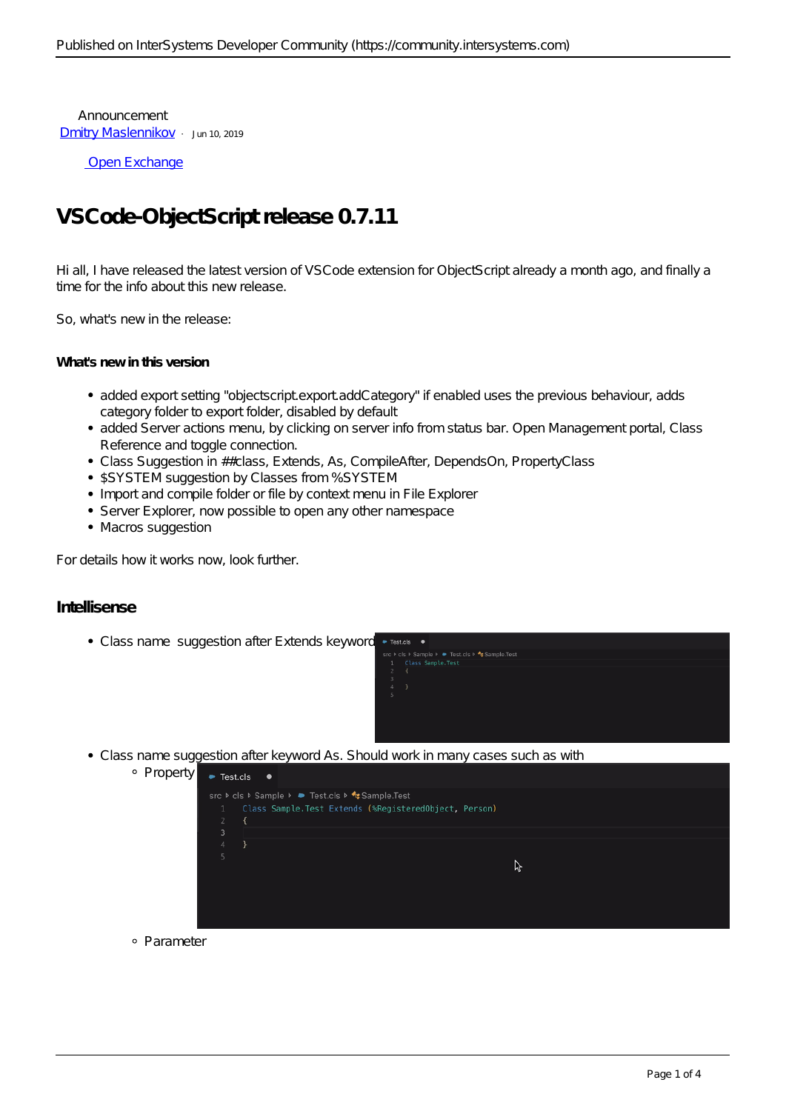Announcement [Dmitry Maslennikov](https://community.intersystems.com/user/dmitry-maslennikov-5) · Jun 10, 2019

[Open Exchange](https://openexchange.intersystems.com/package/VSCode-ObjectScript)

## **VSCode-ObjectScript release 0.7.11**

Hi all, I have released the latest version of VSCode extension for ObjectScript already a month ago, and finally a time for the info about this new release.

So, what's new in the release:

## **What's new in this version**

- added export setting "objectscript.export.addCategory" if enabled uses the previous behaviour, adds category folder to export folder, disabled by default
- added Server actions menu, by clicking on server info from status bar. Open Management portal, Class Reference and toggle connection.
- Class Suggestion in ##class, Extends, As, CompileAfter, DependsOn, PropertyClass
- \$SYSTEM suggestion by Classes from %SYSTEM
- Import and compile folder or file by context menu in File Explorer
- Server Explorer, now possible to open any other namespace
- Macros suggestion

For details how it works now, look further.

## **Intellisense**

• Class name suggestion after Extends keyword



Class name suggestion after keyword As. Should work in many cases such as with

| Property | $\bullet$ Test.cls  | O.                                                                                                        |   |  |
|----------|---------------------|-----------------------------------------------------------------------------------------------------------|---|--|
|          | 1<br>$\overline{2}$ | src ▶ cls ▶ Sample ▶ ▶ Test.cls ▶ * Sample.Test<br>Class Sample. Test Extends (%RegisteredObject, Person) |   |  |
|          | 3                   |                                                                                                           |   |  |
|          | $\overline{4}$      |                                                                                                           |   |  |
|          | 5                   |                                                                                                           | ド |  |
|          |                     |                                                                                                           |   |  |
|          |                     |                                                                                                           |   |  |

Parameter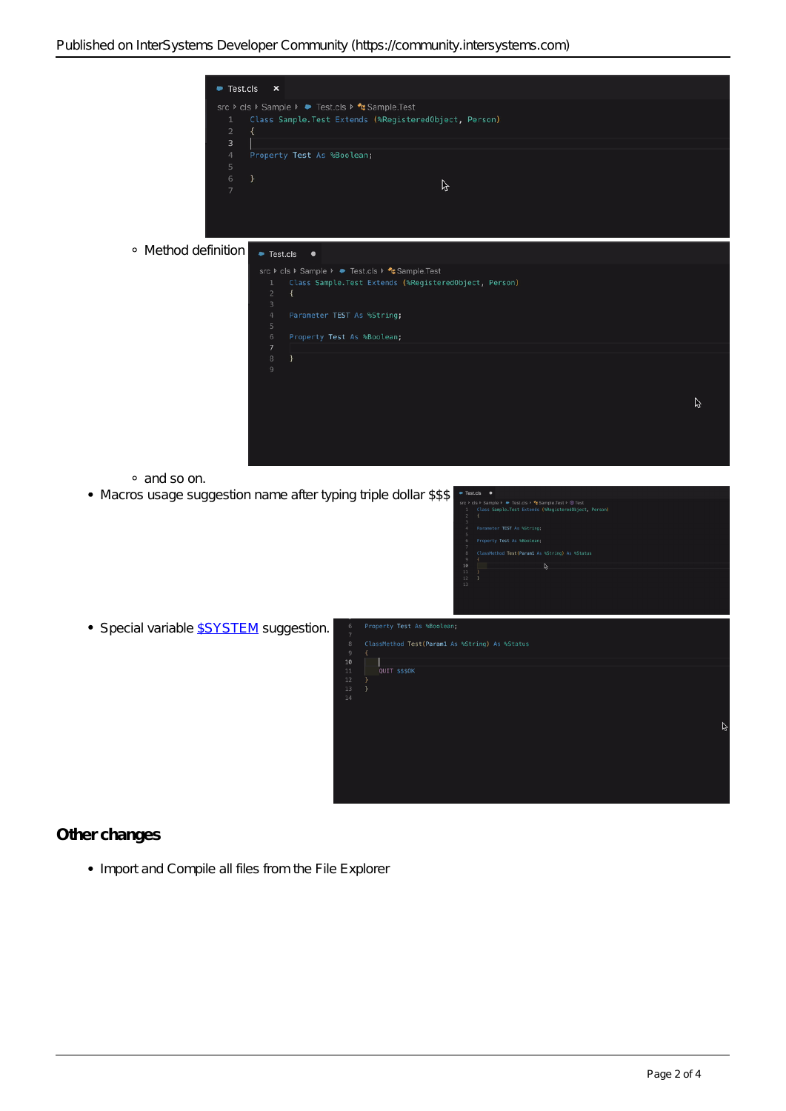| 1<br>$\overline{2}$<br>3<br>$\overline{4}$<br>5 | Test.cls<br>$\pmb{\times}$<br>src ▶ cls ▶ Sample ▶ ● Test.cls ▶ <sup>◆</sup> Sample.Test<br>Class Sample. Test Extends (%RegisteredObject, Person)<br>$\left\{ \right.$<br>Property Test As %Boolean;                                                                           |   |  |  |  |
|-------------------------------------------------|---------------------------------------------------------------------------------------------------------------------------------------------------------------------------------------------------------------------------------------------------------------------------------|---|--|--|--|
| 6<br>7                                          | }<br>ß                                                                                                                                                                                                                                                                          |   |  |  |  |
| · Method definition<br>● Test.cls<br>$\bullet$  |                                                                                                                                                                                                                                                                                 |   |  |  |  |
|                                                 | src ▶ cls ▶ Sample ▶ ● Test.cls ▶ <sup>4</sup> Sample.Test<br>Class Sample. Test Extends (%RegisteredObject, Person)<br>1<br>$\sqrt{2}$<br>$\left\{ \right.$<br>3<br>$\overline{4}$<br>Parameter TEST As %String;<br>5<br>$6\,$<br>Property Test As %Boolean;<br>$\overline{7}$ |   |  |  |  |
|                                                 | $^{\circ}$<br>$\mathcal{F}$<br>$\overline{9}$                                                                                                                                                                                                                                   | ß |  |  |  |
| · and so on.                                    | • Macros usage suggestion name after typing triple dollar \$\$\$<br>Test.cls<br>$\bullet$<br>src ▶ cls ▶ Sample ▶ ● Test.cls ▶<br>Sample.Test ▶ © Test<br>Class Sample.Test Extends (%RegisteredObject, Person)<br>Parameter TEST As %String;<br>                               |   |  |  |  |
| • Special variable <b>SSYSTEM</b> suggestion.   | Property Test As %Boolean;<br>6<br>$\overline{7}$<br>$\,$ 8<br>ClassMethod Test(Param1 As %String) As %Status<br>9<br>€<br>10<br>L.<br>$11\,$<br>QUIT \$\$\$0K<br>12<br>₹.<br>13<br>$\rightarrow$<br>14                                                                         |   |  |  |  |

## **Other changes**

• Import and Compile all files from the File Explorer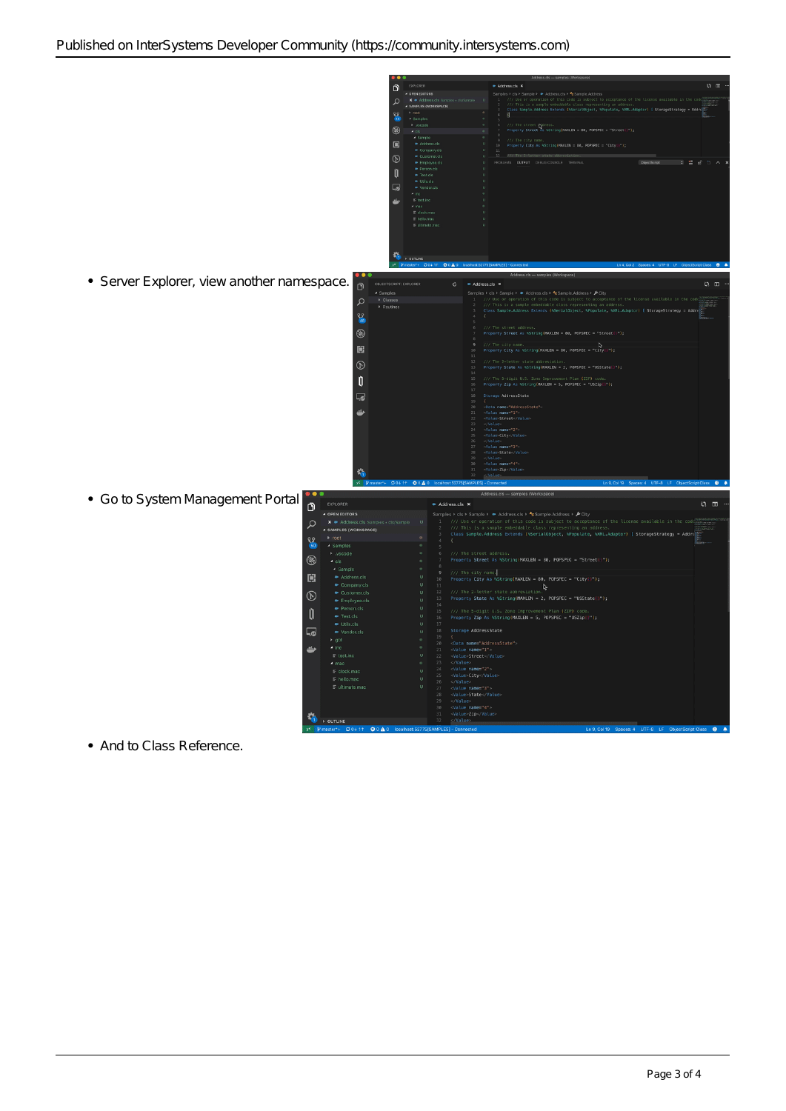

And to Class Reference.